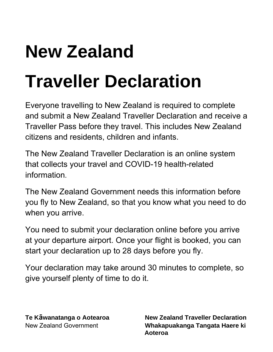# **New Zealand Traveller Declaration**

Everyone travelling to New Zealand is required to complete and submit a New Zealand Traveller Declaration and receive a Traveller Pass before they travel. This includes New Zealand citizens and residents, children and infants.

The New Zealand Traveller Declaration is an online system that collects your travel and COVID-19 health-related information.

The New Zealand Government needs this information before you fly to New Zealand, so that you know what you need to do when you arrive.

You need to submit your declaration online before you arrive at your departure airport. Once your flight is booked, you can start your declaration up to 28 days before you fly.

Your declaration may take around 30 minutes to complete, so give yourself plenty of time to do it.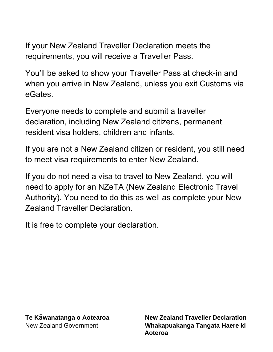If your New Zealand Traveller Declaration meets the requirements, you will receive a Traveller Pass.

You'll be asked to show your Traveller Pass at check-in and when you arrive in New Zealand, unless you exit Customs via eGates.

Everyone needs to complete and submit a traveller declaration, including New Zealand citizens, permanent resident visa holders, children and infants.

If you are not a New Zealand citizen or resident, you still need to meet visa requirements to enter New Zealand.

If you do not need a visa to travel to New Zealand, you will need to apply for an NZeTA (New Zealand Electronic Travel Authority). You need to do this as well as complete your New Zealand Traveller Declaration.

It is free to complete your declaration.

**Te Kāwanatanga o Aotearoa New Zealand Traveller Declaration Whakapuakanga Tangata Haere ki Aoteroa**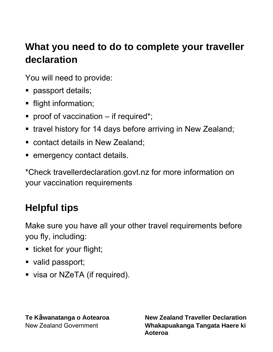# **What you need to do to complete your traveller declaration**

You will need to provide:

- passport details;
- flight information;
- **•** proof of vaccination  $-$  if required\*;
- travel history for 14 days before arriving in New Zealand;
- contact details in New Zealand;
- emergency contact details.

\*Check travellerdeclaration.govt.nz for more information on your vaccination requirements

# **Helpful tips**

Make sure you have all your other travel requirements before you fly, including:

- ticket for your flight;
- valid passport;
- visa or NZeTA (if required).

**Te Kāwanatanga o Aotearoa New Zealand Traveller Declaration** New Zealand Government **Whakapuakanga Tangata Haere ki Aoteroa**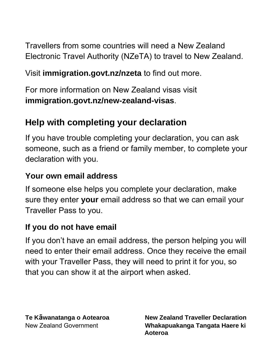Travellers from some countries will need a New Zealand Electronic Travel Authority (NZeTA) to travel to New Zealand.

#### Visit **immigration.govt.nz/nzeta** to find out more.

For more information on New Zealand visas visit **immigration.govt.nz/new-zealand-visas**.

## **Help with completing your declaration**

If you have trouble completing your declaration, you can ask someone, such as a friend or family member, to complete your declaration with you.

#### **Your own email address**

If someone else helps you complete your declaration, make sure they enter **your** email address so that we can email your Traveller Pass to you.

#### **If you do not have email**

If you don't have an email address, the person helping you will need to enter their email address. Once they receive the email with your Traveller Pass, they will need to print it for you, so that you can show it at the airport when asked.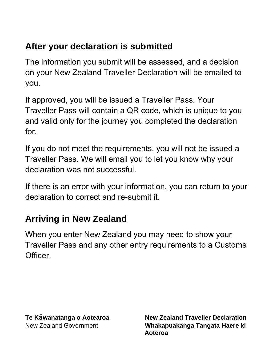## **After your declaration is submitted**

The information you submit will be assessed, and a decision on your New Zealand Traveller Declaration will be emailed to you.

If approved, you will be issued a Traveller Pass. Your Traveller Pass will contain a QR code, which is unique to you and valid only for the journey you completed the declaration for.

If you do not meet the requirements, you will not be issued a Traveller Pass. We will email you to let you know why your declaration was not successful.

If there is an error with your information, you can return to your declaration to correct and re-submit it.

### **Arriving in New Zealand**

When you enter New Zealand you may need to show your Traveller Pass and any other entry requirements to a Customs Officer.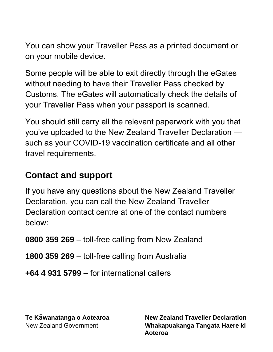You can show your Traveller Pass as a printed document or on your mobile device.

Some people will be able to exit directly through the eGates without needing to have their Traveller Pass checked by Customs. The eGates will automatically check the details of your Traveller Pass when your passport is scanned.

You should still carry all the relevant paperwork with you that you've uploaded to the New Zealand Traveller Declaration such as your COVID-19 vaccination certificate and all other travel requirements.

#### **Contact and support**

If you have any questions about the New Zealand Traveller Declaration, you can call the New Zealand Traveller Declaration contact centre at one of the contact numbers below:

**0800 359 269** – toll-free calling from New Zealand

**1800 359 269** – toll-free calling from Australia

**+64 4 931 5799** – for international callers

**Te Kāwanatanga o Aotearoa New Zealand Traveller Declaration** New Zealand Government **Whakapuakanga Tangata Haere ki Aoteroa**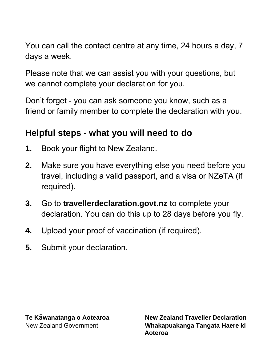You can call the contact centre at any time, 24 hours a day, 7 days a week.

Please note that we can assist you with your questions, but we cannot complete your declaration for you.

Don't forget - you can ask someone you know, such as a friend or family member to complete the declaration with you.

#### **Helpful steps - what you will need to do**

- **1.** Book your flight to New Zealand.
- **2.** Make sure you have everything else you need before you travel, including a valid passport, and a visa or NZeTA (if required).
- **3.** Go to **travellerdeclaration.govt.nz** to complete your declaration. You can do this up to 28 days before you fly.
- **4.** Upload your proof of vaccination (if required).
- **5.** Submit your declaration.